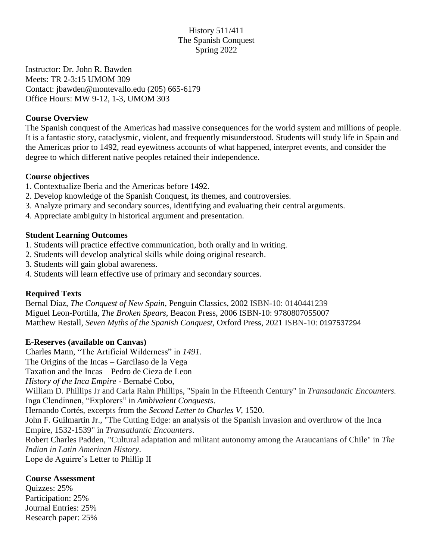# History 511/411 The Spanish Conquest Spring 2022

Instructor: Dr. John R. Bawden Meets: TR 2-3:15 UMOM 309 Contact: jbawden@montevallo.edu (205) 665-6179 Office Hours: MW 9-12, 1-3, UMOM 303

#### **Course Overview**

The Spanish conquest of the Americas had massive consequences for the world system and millions of people. It is a fantastic story, cataclysmic, violent, and frequently misunderstood. Students will study life in Spain and the Americas prior to 1492, read eyewitness accounts of what happened, interpret events, and consider the degree to which different native peoples retained their independence.

## **Course objectives**

- 1. Contextualize Iberia and the Americas before 1492.
- 2. Develop knowledge of the Spanish Conquest, its themes, and controversies.
- 3. Analyze primary and secondary sources, identifying and evaluating their central arguments.
- 4. Appreciate ambiguity in historical argument and presentation.

#### **Student Learning Outcomes**

- 1. Students will practice effective communication, both orally and in writing.
- 2. Students will develop analytical skills while doing original research.
- 3. Students will gain global awareness.
- 4. Students will learn effective use of primary and secondary sources.

## **Required Texts**

Bernal Díaz, *The Conquest of New Spain*, Penguin Classics, 2002 ISBN-10: 0140441239 Miguel Leon-Portilla, *The Broken Spears,* Beacon Press, 2006 ISBN-10: 9780807055007 Matthew Restall, *Seven Myths of the Spanish Conquest,* Oxford Press, 2021 ISBN-10: 0197537294

## **E-Reserves (available on Canvas)**

Charles Mann, "The Artificial Wilderness" in *1491*.

The Origins of the Incas – Garcilaso de la Vega

Taxation and the Incas – Pedro de Cieza de Leon

*History of the Inca Empire* - Bernabé Cobo,

William D. Phillips Jr and Carla Rahn Phillips, "Spain in the Fifteenth Century" in *Transatlantic Encounters.* Inga Clendinnen, "Explorers" in *Ambivalent Conquests*.

Hernando Cortés, excerpts from the *Second Letter to Charles V*, 1520.

John F. Guilmartin Jr., "The Cutting Edge: an analysis of the Spanish invasion and overthrow of the Inca Empire, 1532-1539" in *Transatlantic Encounters*.

Robert Charles Padden, "Cultural adaptation and militant autonomy among the Araucanians of Chile" in *The Indian in Latin American History*.

Lope de Aguirre's Letter to Phillip II

## **Course Assessment**

Quizzes: 25% Participation: 25% Journal Entries: 25% Research paper: 25%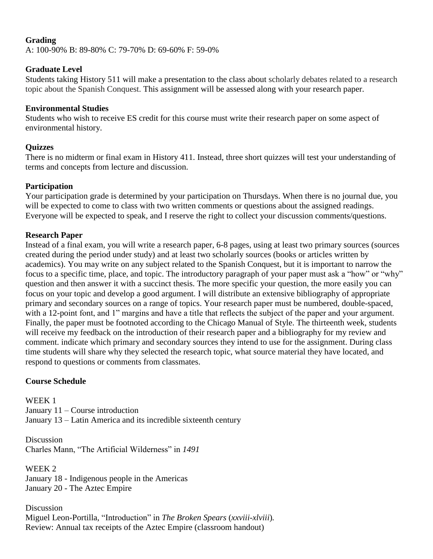## **Grading**

A: 100-90% B: 89-80% C: 79-70% D: 69-60% F: 59-0%

## **Graduate Level**

Students taking History 511 will make a presentation to the class about scholarly debates related to a research topic about the Spanish Conquest. This assignment will be assessed along with your research paper.

## **Environmental Studies**

Students who wish to receive ES credit for this course must write their research paper on some aspect of environmental history.

# **Quizzes**

There is no midterm or final exam in History 411. Instead, three short quizzes will test your understanding of terms and concepts from lecture and discussion.

# **Participation**

Your participation grade is determined by your participation on Thursdays. When there is no journal due, you will be expected to come to class with two written comments or questions about the assigned readings. Everyone will be expected to speak, and I reserve the right to collect your discussion comments/questions.

# **Research Paper**

Instead of a final exam, you will write a research paper, 6-8 pages, using at least two primary sources (sources created during the period under study) and at least two scholarly sources (books or articles written by academics). You may write on any subject related to the Spanish Conquest, but it is important to narrow the focus to a specific time, place, and topic. The introductory paragraph of your paper must ask a "how" or "why" question and then answer it with a succinct thesis. The more specific your question, the more easily you can focus on your topic and develop a good argument. I will distribute an extensive bibliography of appropriate primary and secondary sources on a range of topics. Your research paper must be numbered, double-spaced, with a 12-point font, and 1" margins and have a title that reflects the subject of the paper and your argument. Finally, the paper must be footnoted according to the Chicago Manual of Style. The thirteenth week, students will receive my feedback on the introduction of their research paper and a bibliography for my review and comment. indicate which primary and secondary sources they intend to use for the assignment. During class time students will share why they selected the research topic, what source material they have located, and respond to questions or comments from classmates.

# **Course Schedule**

WEEK 1 January 11 – Course introduction January 13 – Latin America and its incredible sixteenth century

Discussion Charles Mann, "The Artificial Wilderness" in *1491*

WEEK 2 January 18 - Indigenous people in the Americas January 20 - The Aztec Empire

Discussion Miguel Leon-Portilla, "Introduction" in *The Broken Spears* (*xxviii-xlviii*)*.* Review: Annual tax receipts of the Aztec Empire (classroom handout)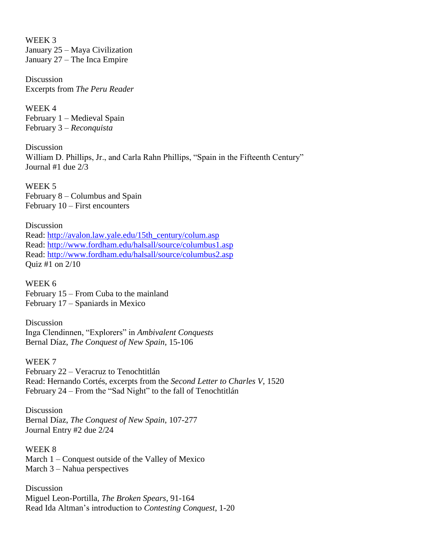WEEK 3 January 25 – Maya Civilization January 27 – The Inca Empire

Discussion Excerpts from *The Peru Reader*

WEEK 4 February 1 – Medieval Spain February 3 – *Reconquista*

Discussion William D. Phillips, Jr., and Carla Rahn Phillips, "Spain in the Fifteenth Century" Journal #1 due 2/3

WEEK 5 February 8 – Columbus and Spain February 10 – First encounters

Discussion Read: [http://avalon.law.yale.edu/15th\\_century/colum.asp](http://avalon.law.yale.edu/15th_century/colum.asp) Read:<http://www.fordham.edu/halsall/source/columbus1.asp> Read:<http://www.fordham.edu/halsall/source/columbus2.asp> Quiz #1 on 2/10

WEEK 6 February 15 – From Cuba to the mainland February 17 – Spaniards in Mexico

Discussion Inga Clendinnen, "Explorers" in *Ambivalent Conquests* Bernal Díaz, *The Conquest of New Spain*, 15-106

WEEK 7 February 22 – Veracruz to Tenochtitlán Read: Hernando Cortés, excerpts from the *Second Letter to Charles V*, 1520 February 24 – From the "Sad Night" to the fall of Tenochtitlán

Discussion Bernal Díaz, *The Conquest of New Spain*, 107-277 Journal Entry #2 due 2/24

WEEK 8 March 1 – Conquest outside of the Valley of Mexico March 3 – Nahua perspectives

Discussion Miguel Leon-Portilla, *The Broken Spears*, 91-164 Read Ida Altman's introduction to *Contesting Conquest*, 1-20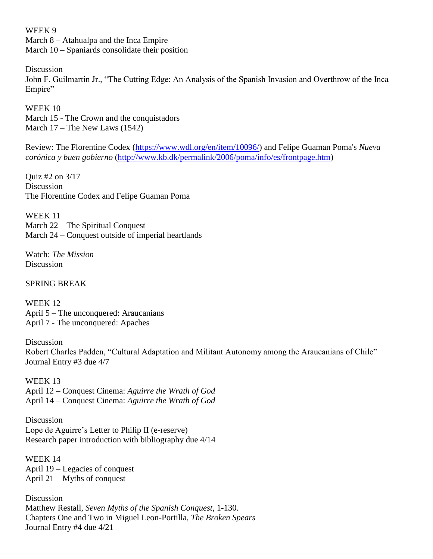#### WEEK 9

March 8 – Atahualpa and the Inca Empire March 10 – Spaniards consolidate their position

Discussion

John F. Guilmartin Jr., "The Cutting Edge: An Analysis of the Spanish Invasion and Overthrow of the Inca Empire"

WEEK 10 March 15 - The Crown and the conquistadors March 17 – The New Laws (1542)

Review: The Florentine Codex [\(https://www.wdl.org/en/item/10096/\)](https://www.wdl.org/en/item/10096/) and Felipe Guaman Poma's *Nueva corónica y buen gobierno* [\(http://www.kb.dk/permalink/2006/poma/info/es/frontpage.htm\)](http://www.kb.dk/permalink/2006/poma/info/es/frontpage.htm)

Quiz #2 on 3/17 Discussion The Florentine Codex and Felipe Guaman Poma

WEEK 11 March 22 – The Spiritual Conquest March 24 – Conquest outside of imperial heartlands

Watch: *The Mission* Discussion

SPRING BREAK

WEEK 12 April 5 – The unconquered: Araucanians April 7 - The unconquered: Apaches

Discussion Robert Charles Padden, "Cultural Adaptation and Militant Autonomy among the Araucanians of Chile" Journal Entry #3 due 4/7

WEEK 13 April 12 – Conquest Cinema: *Aguirre the Wrath of God* April 14 – Conquest Cinema: *Aguirre the Wrath of God*

Discussion Lope de Aguirre's Letter to Philip II (e-reserve) Research paper introduction with bibliography due 4/14

WEEK 14 April 19 – Legacies of conquest April 21 – Myths of conquest

Discussion Matthew Restall, *Seven Myths of the Spanish Conquest*, 1-130. Chapters One and Two in Miguel Leon-Portilla, *The Broken Spears* Journal Entry #4 due 4/21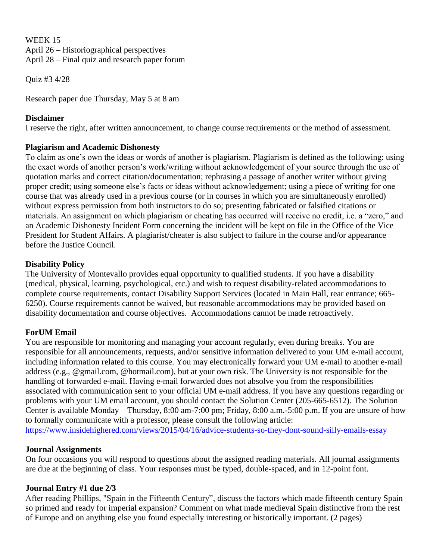#### WEEK 15

April 26 – Historiographical perspectives

April 28 – Final quiz and research paper forum

Quiz #3 4/28

Research paper due Thursday, May 5 at 8 am

# **Disclaimer**

I reserve the right, after written announcement, to change course requirements or the method of assessment.

# **Plagiarism and Academic Dishonesty**

To claim as one's own the ideas or words of another is plagiarism. Plagiarism is defined as the following: using the exact words of another person's work/writing without acknowledgement of your source through the use of quotation marks and correct citation/documentation; rephrasing a passage of another writer without giving proper credit; using someone else's facts or ideas without acknowledgement; using a piece of writing for one course that was already used in a previous course (or in courses in which you are simultaneously enrolled) without express permission from both instructors to do so; presenting fabricated or falsified citations or materials. An assignment on which plagiarism or cheating has occurred will receive no credit, i.e. a "zero," and an Academic Dishonesty Incident Form concerning the incident will be kept on file in the Office of the Vice President for Student Affairs. A plagiarist/cheater is also subject to failure in the course and/or appearance before the Justice Council.

# **Disability Policy**

The University of Montevallo provides equal opportunity to qualified students. If you have a disability (medical, physical, learning, psychological, etc.) and wish to request disability-related accommodations to complete course requirements, contact Disability Support Services (located in Main Hall, rear entrance; 665- 6250). Course requirements cannot be waived, but reasonable accommodations may be provided based on disability documentation and course objectives. Accommodations cannot be made retroactively.

# **ForUM Email**

You are responsible for monitoring and managing your account regularly, even during breaks. You are responsible for all announcements, requests, and/or sensitive information delivered to your UM e-mail account, including information related to this course. You may electronically forward your UM e-mail to another e-mail address (e.g., @gmail.com, @hotmail.com), but at your own risk. The University is not responsible for the handling of forwarded e-mail. Having e-mail forwarded does not absolve you from the responsibilities associated with communication sent to your official UM e-mail address. If you have any questions regarding or problems with your UM email account, you should contact the Solution Center (205-665-6512). The Solution Center is available Monday – Thursday, 8:00 am-7:00 pm; Friday, 8:00 a.m.-5:00 p.m. If you are unsure of how to formally communicate with a professor, please consult the following article:

<https://www.insidehighered.com/views/2015/04/16/advice-students-so-they-dont-sound-silly-emails-essay>

# **Journal Assignments**

On four occasions you will respond to questions about the assigned reading materials. All journal assignments are due at the beginning of class. Your responses must be typed, double-spaced, and in 12-point font.

# **Journal Entry #1 due 2/3**

After reading Phillips, "Spain in the Fifteenth Century", discuss the factors which made fifteenth century Spain so primed and ready for imperial expansion? Comment on what made medieval Spain distinctive from the rest of Europe and on anything else you found especially interesting or historically important. (2 pages)